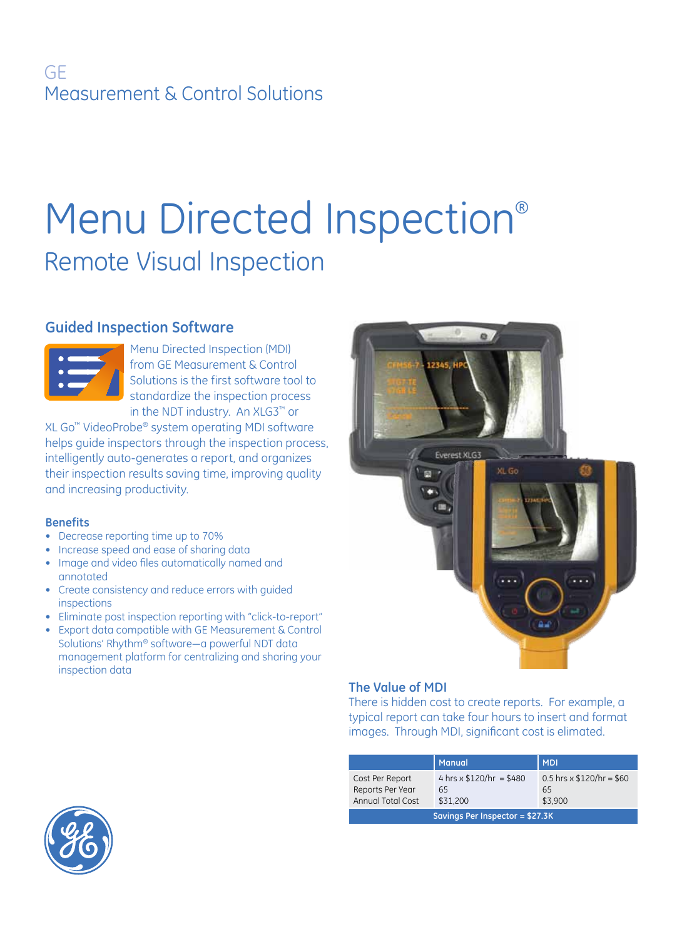# GE Measurement & Control Solutions

# Menu Directed Inspection® Remote Visual Inspection

# **Guided Inspection Software**



Menu Directed Inspection (MDI) from GE Measurement & Control Solutions is the first software tool to standardize the inspection process in the NDT industry. An XLG3™ or

XL Go™ VideoProbe® system operating MDI software helps guide inspectors through the inspection process, intelligently auto-generates a report, and organizes their inspection results saving time, improving quality and increasing productivity.

## **Benefits**

- • Decrease reporting time up to 70%
- Increase speed and ease of sharing data
- Image and video files automatically named and annotated
- Create consistency and reduce errors with guided inspections
- Eliminate post inspection reporting with "click-to-report"
- • Export data compatible with GE Measurement & Control Solutions' Rhythm® software—a powerful NDT data management platform for centralizing and sharing your inspection data



## **The Value of MDI**

There is hidden cost to create reports. For example, a typical report can take four hours to insert and format images. Through MDI, significant cost is elimated.

|                                                                 | <b>Manual</b>                                     | <b>MDI</b>                                        |
|-----------------------------------------------------------------|---------------------------------------------------|---------------------------------------------------|
| Cost Per Report<br>Reports Per Year<br><b>Annual Total Cost</b> | 4 hrs $\times$ \$120/hr = \$480<br>65<br>\$31,200 | 0.5 hrs $\times$ \$120/hr = \$60<br>65<br>\$3.900 |
| Savings Per Inspector = \$27.3K                                 |                                                   |                                                   |